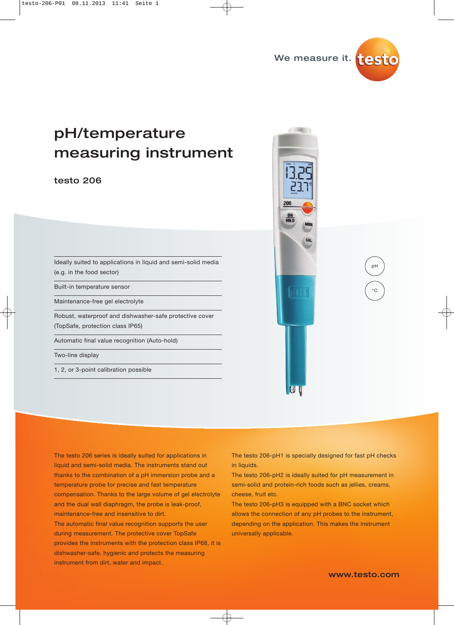

# $p \rightarrow p$ measuring instruments

#### testo 206 testo 206

Ideally suited to applications in liquid and semi-solid media (e.g. in the food sector)

Built-in temperature sensor

Maintenance-free gel electrolyte

Robust, waterproof and dishwasher-safe protective cover (TopSafe, protection class IP65)

Automatic final value recognition (Auto-hold)

Two-line display

1, 2, or 3-point calibration possible



The testo 206 series is ideally suited for applications in liquid and semi-solid media. The instruments stand out thanks to the combination of a pH immersion probe and a temperature probe for precise and fast temperature compensation. Thanks to the large volume of gel electrolyte and the dual wall diaphragm, the probe is leak-proof, maintenance-free and insensitive to dirt.

The automatic final value recognition supports the user during measurement. The protective cover TopSafe provides the instruments with the protection class IP68, it is dishwasher-safe, hygienic and protects the measuring instrument from dirt, water and impact.

The testo 206-pH1 is specially designed for fast pH checks in liquids.

The testo 206-pH2 is ideally suited for pH measurement in semi-solid and protein-rich foods such as jellies, creams, cheese, fruit etc.

The testo 206-pH3 is equipped with a BNC socket which allows the connection of any pH probes to the instrument, depending on the application. This makes the instrument universally applicable.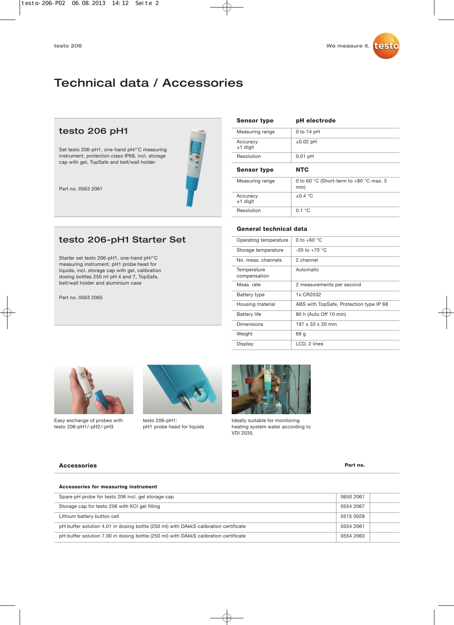# Technical data / Accessories

## testo 206 pH1

Set testo 206-pH1, one-hand pH/°C measuring instrument, protection class IP68, incl. storage cap with gel, TopSafe and belt/wall holder



Part no. 0563 2061

# testo 206-pH1 Starter Set

Starter set testo 206-pH1, one-hand pH/°C measuring instrument, pH1 probe head for liquids, incl. storage cap with gel, calibration dosing bottles 250 ml pH 4 and 7, TopSafe, belt/wall holder and aluminium case

Part no. 0563 2065

| <b>Sensor type</b>     | pH electrode                                      |
|------------------------|---------------------------------------------------|
| Measuring range        | $0$ to 14 pH                                      |
| Accuracy<br>$±1$ digit | $\pm 0.02$ pH                                     |
| Resolution             | $0.01$ pH                                         |
|                        |                                                   |
| <b>Sensor type</b>     | <b>NTC</b>                                        |
| Measuring range        | 0 to 60 °C (Short-term to $+80$ °C max. 5<br>min) |
| Accuracy<br>$±1$ digit | $\pm 0.4$ °C                                      |

#### **General technical data**

| Operating temperature       | 0 to $+60$ °C                           |
|-----------------------------|-----------------------------------------|
| Storage temperature         | $-20$ to $+70$ °C                       |
| No. meas, channels          | 2 channel                               |
| Temperature<br>compensation | Automatic                               |
| Meas, rate                  | 2 measurements per second               |
| <b>Battery type</b>         | 1x CR2032                               |
| Housing material            | ABS with TopSafe, Protection type IP 68 |
| <b>Battery life</b>         | 80 h (Auto Off 10 min)                  |
| Dimensions                  | 197 x 33 x 20 mm                        |
| Weight                      | 69 q                                    |
| Display                     | LCD, 2 lines                            |



Easy exchange of probes with testo 206-pH1/-pH2/-pH3



testo 206-pH1: pH1 probe head for liquids



Ideally suitable for monitoring heating system water according to VDI 2035.

#### **Accessories Part no.**

| Accessories for measuring instrument                                                 |           |  |
|--------------------------------------------------------------------------------------|-----------|--|
| Spare pH probe for testo 206 incl. gel storage cap                                   | 0650 2061 |  |
| Storage cap for testo 206 with KCI gel filling                                       | 0554 2067 |  |
| Lithium battery button cell                                                          | 0515 0028 |  |
| pH buffer solution 4.01 in dosing bottle (250 ml) with DAkkS calibration certificate | 0554 2061 |  |
| pH buffer solution 7.00 in dosing bottle (250 ml) with DAkkS calibration certificate | 0554 2063 |  |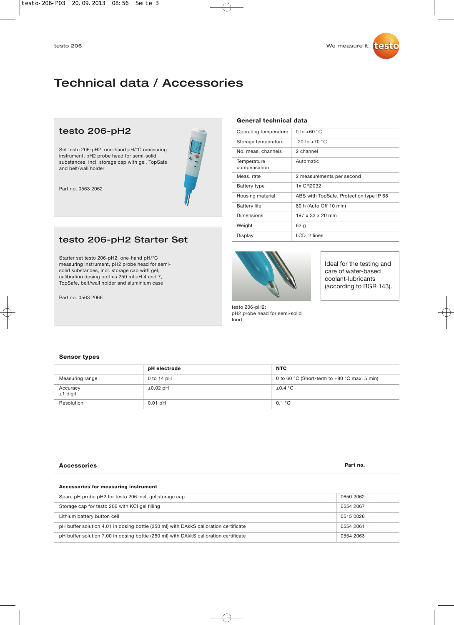# Technical data / Accessories

**Para** 

### testo 206-pH2

Set testo 206-pH2, one-hand pH/°C measuring instrument, pH2 probe head for semi-solid substances, incl. storage cap with gel, TopSafe and belt/wall holder

Part no. 0563 2062

# testo 206-pH2 Starter Set

Starter set testo 206-pH2, one-hand pH/°C measuring instrument, pH2 probe head for semisolid substances, incl. storage cap with gel, calibration dosing bottles 250 ml pH 4 and 7, TopSafe, belt/wall holder and aluminium case

Part no. 0563 2066

#### **General technical data**

| Operating temperature       | 0 to $+60$ °C                           |
|-----------------------------|-----------------------------------------|
| Storage temperature         | $-20$ to $+70$ °C                       |
| No meas channels            | 2 channel                               |
| Temperature<br>compensation | Automatic                               |
| Meas, rate                  | 2 measurements per second               |
| <b>Battery type</b>         | 1x CR2032                               |
| Housing material            | ABS with TopSafe, Protection type IP 68 |
| <b>Battery life</b>         | 80 h (Auto Off 10 min)                  |
| Dimensions                  | 197 x 33 x 20 mm                        |
| Weight                      | 62 g                                    |
| Display                     | LCD, 2 lines                            |



Ideal for the testing and care of water-based coolant-lubricants (according to BGR 143).

testo 206-pH2: pH2 probe head for semi-solid

# food

#### **Sensor types**

|                      | pH electrode  | <b>NTC</b>                                     |
|----------------------|---------------|------------------------------------------------|
| Measuring range      | 0 to 14 $pH$  | 0 to 60 °C (Short-term to $+80$ °C max. 5 min) |
| Accuracy<br>±1 digit | $\pm 0.02$ pH | $\pm 0.4$ °C                                   |
| Resolution           | $0.01$ pH     | 0.1 °C                                         |

#### **Accessories Part no. Part no. Part no. Part no. Part no. Part no.**

#### **Accessories for measuring instrument** 0650 2062 0554 2067 0515 0028 0554 2061 0554 2063 Spare pH probe pH2 for testo 206 incl. gel storage cap Storage cap for testo 206 with KCI gel filling Lithium battery button cell pH buffer solution 4.01 in dosing bottle (250 ml) with DAkkS calibration certificate pH buffer solution 7.00 in dosing bottle (250 ml) with DAkkS calibration certificate